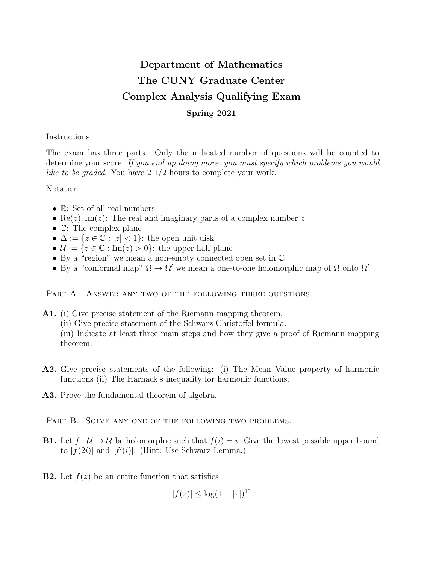# Department of Mathematics The CUNY Graduate Center Complex Analysis Qualifying Exam Spring 2021

## **Instructions**

The exam has three parts. Only the indicated number of questions will be counted to determine your score. If you end up doing more, you must specify which problems you would like to be graded. You have  $2 \frac{1}{2}$  hours to complete your work.

### Notation

- R: Set of all real numbers
- Re(z), Im(z): The real and imaginary parts of a complex number z
- C: The complex plane
- $\Delta := \{z \in \mathbb{C} : |z| < 1\}$ : the open unit disk
- $\mathcal{U} := \{z \in \mathbb{C} : \text{Im}(z) > 0\}$ : the upper half-plane
- By a "region" we mean a non-empty connected open set in C
- By a "conformal map"  $\Omega \to \Omega'$  we mean a one-to-one holomorphic map of  $\Omega$  onto  $\Omega'$

#### PART A. ANSWER ANY TWO OF THE FOLLOWING THREE QUESTIONS.

- A1. (i) Give precise statement of the Riemann mapping theorem.
	- (ii) Give precise statement of the Schwarz-Christoffel formula.

(iii) Indicate at least three main steps and how they give a proof of Riemann mapping theorem.

- A2. Give precise statements of the following: (i) The Mean Value property of harmonic functions (ii) The Harnack's inequality for harmonic functions.
- A3. Prove the fundamental theorem of algebra.

### PART B. SOLVE ANY ONE OF THE FOLLOWING TWO PROBLEMS.

- **B1.** Let  $f: \mathcal{U} \to \mathcal{U}$  be holomorphic such that  $f(i) = i$ . Give the lowest possible upper bound to  $|f(2i)|$  and  $|f'(i)|$ . (Hint: Use Schwarz Lemma.)
- **B2.** Let  $f(z)$  be an entire function that satisfies

 $|f(z)| \leq \log(1+|z|)^{10}$ .